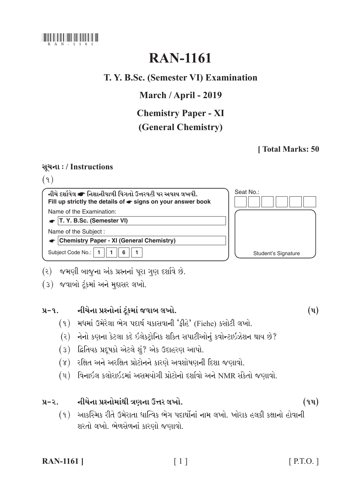

# **RAN-1161**

# T. Y. B.Sc. (Semester VI) Examination

# March / April - 2019

# **Chemistry Paper - XI**

# (General Chemistry)

# [Total Marks: 50

# સચના: / Instructions

 $(9)$ 

Seat No.: નીચે દર્શાવેલ ☞ નિશાનીવાળી વિગતો ઉત્તરવહી પર અવશ્ય લખવી. Fill up strictly the details of  $\bullet$  signs on your answer book Name of the Examination:  $\bullet$  T. Y. B.Sc. (Semester VI) Name of the Subject: Chemistry Paper - XI (General Chemistry) Subject Code No.: 1  $\blacksquare$  $6$  $\mathbf{1}$ Student's Signature

- (૨) જમણી બાજુના અંક પ્રશ્નનાં પૂરા ગણ દર્શાવે છે.
- (3) જવાબો ટંકમાં અને મુદ્દાસર લખો.

#### નીચેના પ્રશ્નોનાં ટુંકમાં જવાબ લખો.  $y - q$

- (૧) મધમાં ઉમેરેલા ભેગ પદાર્થ ચકાસવાની 'કીહે' (Fiehe) કસોટી લખો.
- (૨) નેનો કણના કેટલા કદે ઇલેકટ્રોનિક શકિત સપાટીઓનું કવોન્ટાઇઝેશન થાય છે?
- (3) દ્વિતિયક પ્રદૂષકો એટલે શું? એક ઉદાહરણ આપો.
- (૪) રક્ષિત અને અરક્ષિત પ્રોટોનને કારણે અવશોષણની દિશા જણાવો.
- (૫) વિનાઇલ કલોરાઇડમાં અસમયોગી પ્રોટોનો દર્શાવો અને NMR સંકેતો જણાવો.

#### નીચેના પ્રશ્નોમાંથી ત્રણના ઉત્તર લખો.  $y-z$

(૧) આકસ્મિક રીતે ઉમેરાતા ધાત્વિક ભેગ પદાર્થોનાં નામ લખો. ખોરાક હલકી કક્ષાનો હોવાની શરતો લખો. ભેળસેળનાં કારણો જણાવો.

| <b>RAN-1161</b> ] |  |
|-------------------|--|
|-------------------|--|

 $(9y)$ 

 $(\mathbf{u})$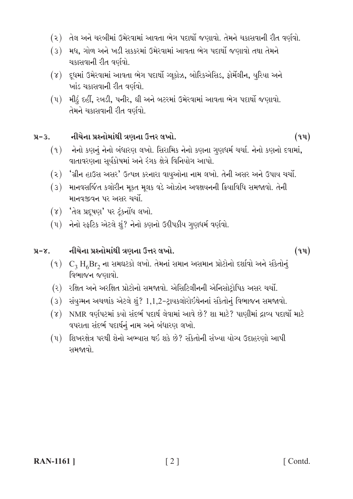- (૨) તેલ અને ચરબીમાં ઉમેરવામાં આવતા ભેગ પદાર્થો જણાવો. તેમને ચકાસવાની રીત વર્ણવો.
- (3) મધ, ગોળ અને ખડી સકકરમાં ઉમેરવામાં આવતા ભેગ પદાર્થો જણાવો તથા તેમને ચકાસવાની રીત વર્ણવો.
- (૪) દૂધમાં ઉમેરવામાં આવતા ભેગ પદાર્થો ગ્લુકોઝ, બોરિકએસિડ, ફોર્મેલીન, યુરિયા અને ખાંડ ચકાસવાની રીત વર્ણવો.
- (૫) મીઠું દહીં, રબડી, પનીર, ઘી અને બટરમાં ઉમેરવામાં આવતા ભેગ પદાર્થો જણાવો. તેમને ચકાસવાની રીત વર્ણવો.

#### નીચેના પ્રશ્નોમાંથી ત્રણના ઉત્તર લખો.  $x - 3$ .

- $(9)$  નેનો કણનું નેનો બંધારણ લખો. સિરામિક નેનો કણના ગુણધર્મ ચર્ચા. નેનો કણનો દવામાં, વાતાવરણના સૂર્યકોષમાં અને રંગક ક્ષેત્રે વિનિયોગ આપો.
- (૨) 'ગ્રીન હાઉસ અસર' ઉત્પન્ન કરનારા વાયુઓના નામ લખો. તેની અસર અને ઉપાય ચર્ચો.
- (૩) માનવસર્જિત કલોરીન મૂકત મૂલક વડે ઓઝોન અવક્ષયનની ક્રિયાવિધિ સમજાવો. તેની માનવજીવન પર અસર ચર્ચો.
- (૪) 'તેલ પ્રદૂષણ' પર ટંકનોંધ લખો.
- (૫) નેનો સ્ફટિક એટલે શું? નેનો કણનો ઉદ્દીપકીય ગુણધર્મ વર્ણવો.

#### નીચેના પ્રશ્નોમાંથી ત્રણના ઉત્તર લખો.  $y-x$ .

- $(9)$  C<sub>3</sub> H<sub>6</sub>Br<sub>2</sub> ના સમઘટકો લખો. તેમનાં સમાન અસમાન પ્રોટોનો દર્શાવો અને સંકેતોનું વિભાજન જણાવો.
- (૨) રક્ષિત અને અરક્ષિત પ્રોટોનો સમજાવો. એસિટિલીનની એનિસોટ્રોપિક અસર ચર્ચો.
- $(3)$  સંયુગ્મન અચળાંક એટલે શું? 1,1,2-ટ્રાયકલોરોઈથેનનાં સંકેતોનું વિભાજન સમજાવો.
- (૪) NMR વર્ણપટમાં કર્યો સંદર્ભ પદાર્થ લેવામાં આવે છે? શા માટે? પાણીમાં દ્રાવ્ય પદાર્થો માટે વપરાતા સંદર્ભ પદાર્થનું નામ અને બંધારણ લખો.
- (૫) શિખરક્ષેત્ર પરથી શેનો અભ્યાસ થઇ શકે છે? સંકેતોની સંખ્યા યોગ્ય ઉદાહરણો આપી સમજાવો

 $(9y)$ 

 $(9y)$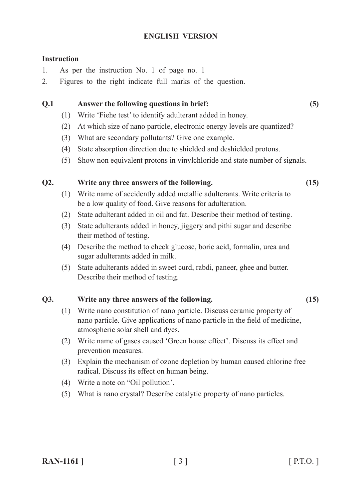### **ENGLISH VERSION**

### **Instruction**

- 1. As per the instruction No. 1 of page no. 1
- 2. Figures to the right indicate full marks of the question.

### **Q.1 Answer the following questions in brief: (5)**

- (1) Write 'Fiehe test' to identify adulterant added in honey.
- (2) At which size of nano particle, electronic energy levels are quantized?
- (3) What are secondary pollutants? Give one example.
- (4) State absorption direction due to shielded and deshielded protons.
- (5) Show non equivalent protons in vinylchloride and state number of signals.

### **Q2. Write any three answers of the following. (15)**

- (1) Write name of accidently added metallic adulterants. Write criteria to be a low quality of food. Give reasons for adulteration.
- (2) State adulterant added in oil and fat. Describe their method of testing.
- (3) State adulterants added in honey, jiggery and pithi sugar and describe their method of testing.
- (4) Describe the method to check glucose, boric acid, formalin, urea and sugar adulterants added in milk.
- (5) State adulterants added in sweet curd, rabdi, paneer, ghee and butter. Describe their method of testing.

# **Q3. Write any three answers of the following. (15)**

- (1) Write nano constitution of nano particle. Discuss ceramic property of nano particle. Give applications of nano particle in the field of medicine, atmospheric solar shell and dyes.
- (2) Write name of gases caused 'Green house effect'. Discuss its effect and prevention measures.
- (3) Explain the mechanism of ozone depletion by human caused chlorine free radical. Discuss its effect on human being.
- (4) Write a note on "Oil pollution'.
- (5) What is nano crystal? Describe catalytic property of nano particles.